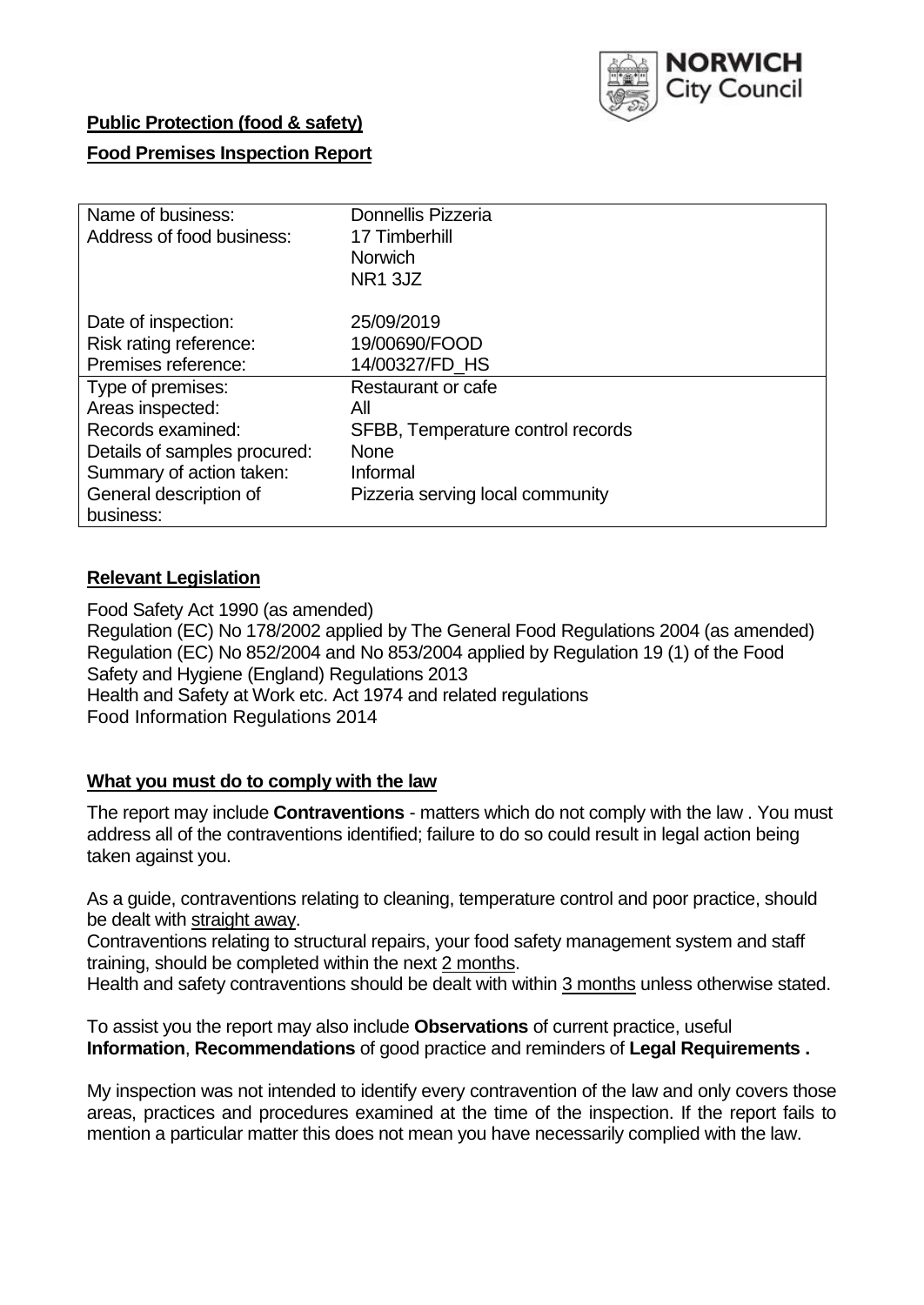

## **Public Protection (food & safety)**

## **Food Premises Inspection Report**

| Name of business:            | <b>Donnellis Pizzeria</b>         |  |  |  |  |
|------------------------------|-----------------------------------|--|--|--|--|
| Address of food business:    | 17 Timberhill                     |  |  |  |  |
|                              | <b>Norwich</b>                    |  |  |  |  |
|                              | NR1 3JZ                           |  |  |  |  |
| Date of inspection:          | 25/09/2019                        |  |  |  |  |
| Risk rating reference:       | 19/00690/FOOD                     |  |  |  |  |
| Premises reference:          | 14/00327/FD HS                    |  |  |  |  |
| Type of premises:            | Restaurant or cafe                |  |  |  |  |
| Areas inspected:             | All                               |  |  |  |  |
| Records examined:            | SFBB, Temperature control records |  |  |  |  |
| Details of samples procured: | <b>None</b>                       |  |  |  |  |
| Summary of action taken:     | Informal                          |  |  |  |  |
| General description of       | Pizzeria serving local community  |  |  |  |  |
| business:                    |                                   |  |  |  |  |

## **Relevant Legislation**

Food Safety Act 1990 (as amended) Regulation (EC) No 178/2002 applied by The General Food Regulations 2004 (as amended) Regulation (EC) No 852/2004 and No 853/2004 applied by Regulation 19 (1) of the Food Safety and Hygiene (England) Regulations 2013 Health and Safety at Work etc. Act 1974 and related regulations Food Information Regulations 2014

## **What you must do to comply with the law**

The report may include **Contraventions** - matters which do not comply with the law . You must address all of the contraventions identified; failure to do so could result in legal action being taken against you.

As a guide, contraventions relating to cleaning, temperature control and poor practice, should be dealt with straight away.

Contraventions relating to structural repairs, your food safety management system and staff training, should be completed within the next 2 months.

Health and safety contraventions should be dealt with within 3 months unless otherwise stated.

To assist you the report may also include **Observations** of current practice, useful **Information**, **Recommendations** of good practice and reminders of **Legal Requirements .**

My inspection was not intended to identify every contravention of the law and only covers those areas, practices and procedures examined at the time of the inspection. If the report fails to mention a particular matter this does not mean you have necessarily complied with the law.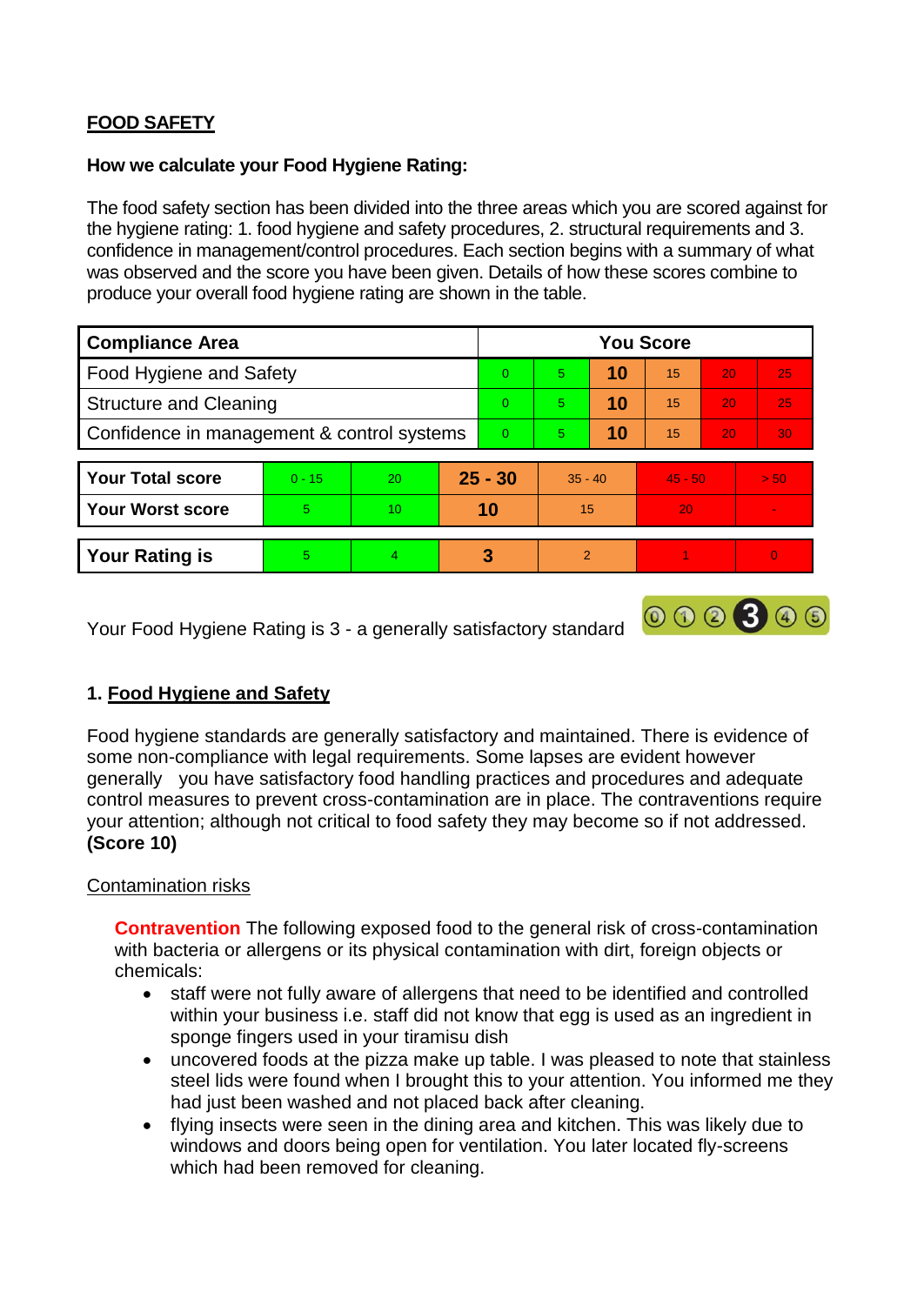# **FOOD SAFETY**

#### **How we calculate your Food Hygiene Rating:**

The food safety section has been divided into the three areas which you are scored against for the hygiene rating: 1. food hygiene and safety procedures, 2. structural requirements and 3. confidence in management/control procedures. Each section begins with a summary of what was observed and the score you have been given. Details of how these scores combine to produce your overall food hygiene rating are shown in the table.

| <b>Compliance Area</b>                     |          |                  |           | <b>You Score</b> |               |    |           |                 |          |  |  |
|--------------------------------------------|----------|------------------|-----------|------------------|---------------|----|-----------|-----------------|----------|--|--|
| Food Hygiene and Safety                    |          |                  |           | $\Omega$         | 5             | 10 | 15        | 20              | 25       |  |  |
| <b>Structure and Cleaning</b>              |          |                  | $\Omega$  | 5                | 10            | 15 | 20        | 25              |          |  |  |
| Confidence in management & control systems |          |                  | $\Omega$  | 5                | 10            | 15 | 20        | 30 <sup>°</sup> |          |  |  |
|                                            |          |                  |           |                  |               |    |           |                 |          |  |  |
| <b>Your Total score</b>                    | $0 - 15$ | 20               | $25 - 30$ |                  | $35 - 40$     |    | $45 - 50$ |                 | > 50     |  |  |
| <b>Your Worst score</b>                    | 5        | 10 <sup>10</sup> | 10        |                  | 15            |    | 20        |                 |          |  |  |
|                                            |          |                  |           |                  |               |    |           |                 |          |  |  |
| <b>Your Rating is</b>                      | 5        | $\overline{4}$   | 3         |                  | $\mathcal{P}$ |    |           |                 | $\Omega$ |  |  |

Your Food Hygiene Rating is 3 - a generally satisfactory standard

## **1. Food Hygiene and Safety**

Food hygiene standards are generally satisfactory and maintained. There is evidence of some non-compliance with legal requirements. Some lapses are evident however generally you have satisfactory food handling practices and procedures and adequate control measures to prevent cross-contamination are in place. The contraventions require your attention; although not critical to food safety they may become so if not addressed. **(Score 10)**

000300

## Contamination risks

**Contravention** The following exposed food to the general risk of cross-contamination with bacteria or allergens or its physical contamination with dirt, foreign objects or chemicals:

- staff were not fully aware of allergens that need to be identified and controlled within your business i.e. staff did not know that egg is used as an ingredient in sponge fingers used in your tiramisu dish
- uncovered foods at the pizza make up table. I was pleased to note that stainless steel lids were found when I brought this to your attention. You informed me they had just been washed and not placed back after cleaning.
- flying insects were seen in the dining area and kitchen. This was likely due to windows and doors being open for ventilation. You later located fly-screens which had been removed for cleaning.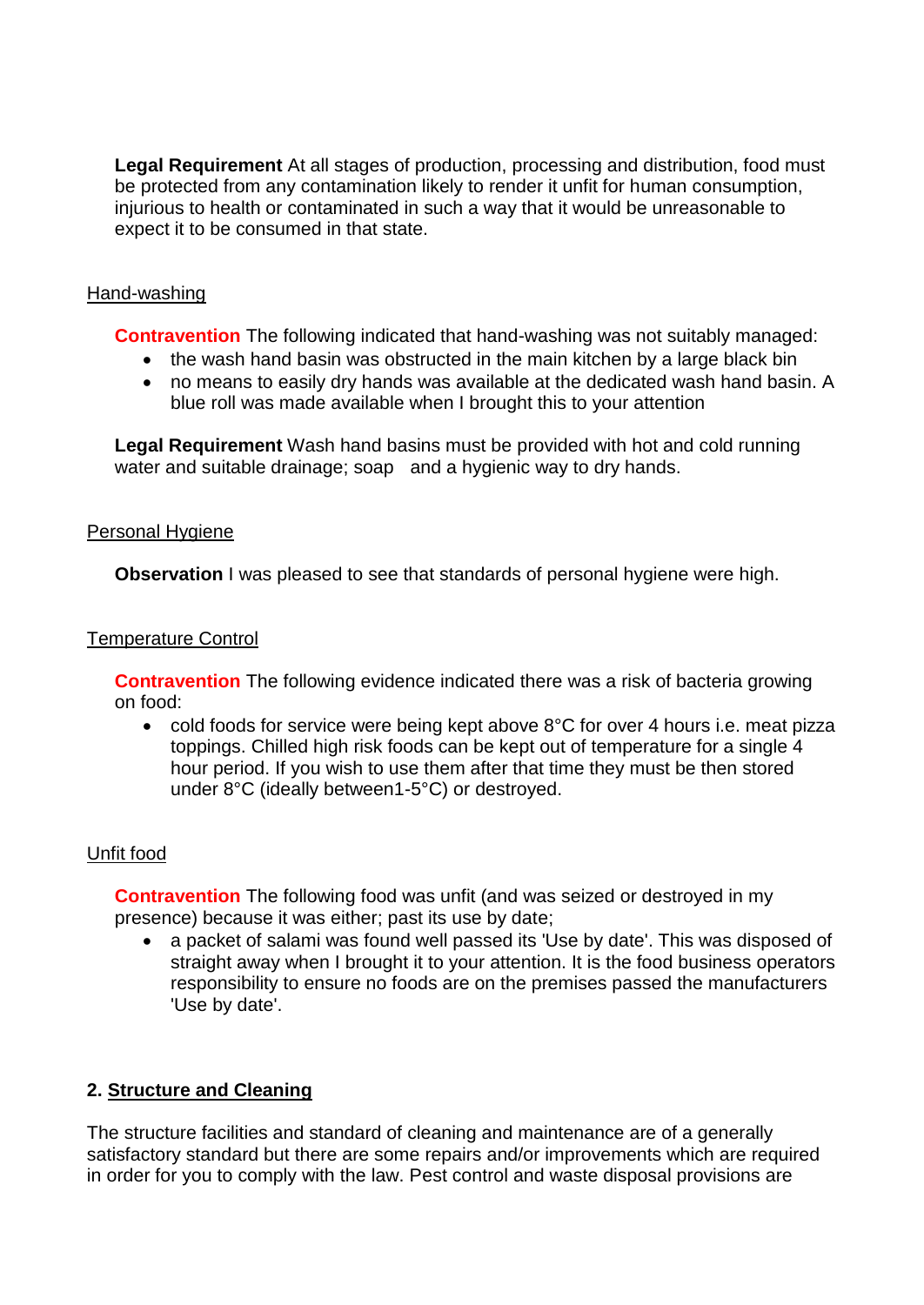**Legal Requirement** At all stages of production, processing and distribution, food must be protected from any contamination likely to render it unfit for human consumption, injurious to health or contaminated in such a way that it would be unreasonable to expect it to be consumed in that state.

#### Hand-washing

**Contravention** The following indicated that hand-washing was not suitably managed:

- the wash hand basin was obstructed in the main kitchen by a large black bin
- no means to easily dry hands was available at the dedicated wash hand basin. A blue roll was made available when I brought this to your attention

**Legal Requirement** Wash hand basins must be provided with hot and cold running water and suitable drainage; soap and a hygienic way to dry hands.

#### Personal Hygiene

**Observation** I was pleased to see that standards of personal hygiene were high.

#### Temperature Control

**Contravention** The following evidence indicated there was a risk of bacteria growing on food:

• cold foods for service were being kept above 8°C for over 4 hours i.e. meat pizza toppings. Chilled high risk foods can be kept out of temperature for a single 4 hour period. If you wish to use them after that time they must be then stored under 8°C (ideally between1-5°C) or destroyed.

## Unfit food

**Contravention** The following food was unfit (and was seized or destroyed in my presence) because it was either; past its use by date;

• a packet of salami was found well passed its 'Use by date'. This was disposed of straight away when I brought it to your attention. It is the food business operators responsibility to ensure no foods are on the premises passed the manufacturers 'Use by date'.

## **2. Structure and Cleaning**

The structure facilities and standard of cleaning and maintenance are of a generally satisfactory standard but there are some repairs and/or improvements which are required in order for you to comply with the law. Pest control and waste disposal provisions are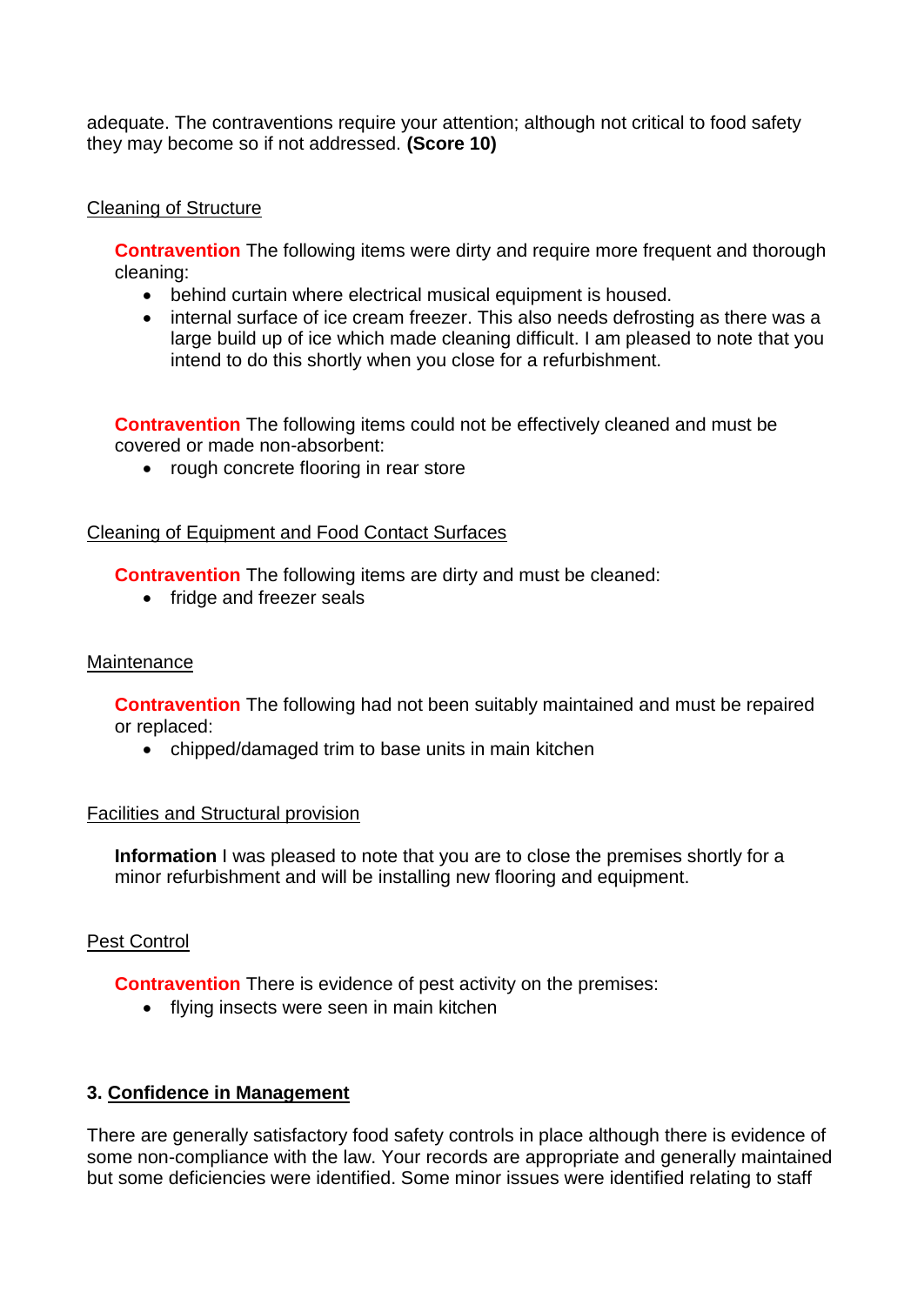adequate. The contraventions require your attention; although not critical to food safety they may become so if not addressed. **(Score 10)**

## Cleaning of Structure

**Contravention** The following items were dirty and require more frequent and thorough cleaning:

- behind curtain where electrical musical equipment is housed.
- internal surface of ice cream freezer. This also needs defrosting as there was a large build up of ice which made cleaning difficult. I am pleased to note that you intend to do this shortly when you close for a refurbishment.

**Contravention** The following items could not be effectively cleaned and must be covered or made non-absorbent:

• rough concrete flooring in rear store

## Cleaning of Equipment and Food Contact Surfaces

**Contravention** The following items are dirty and must be cleaned:

• fridge and freezer seals

## **Maintenance**

**Contravention** The following had not been suitably maintained and must be repaired or replaced:

• chipped/damaged trim to base units in main kitchen

## Facilities and Structural provision

**Information** I was pleased to note that you are to close the premises shortly for a minor refurbishment and will be installing new flooring and equipment.

## Pest Control

**Contravention** There is evidence of pest activity on the premises:

• flying insects were seen in main kitchen

## **3. Confidence in Management**

There are generally satisfactory food safety controls in place although there is evidence of some non-compliance with the law. Your records are appropriate and generally maintained but some deficiencies were identified. Some minor issues were identified relating to staff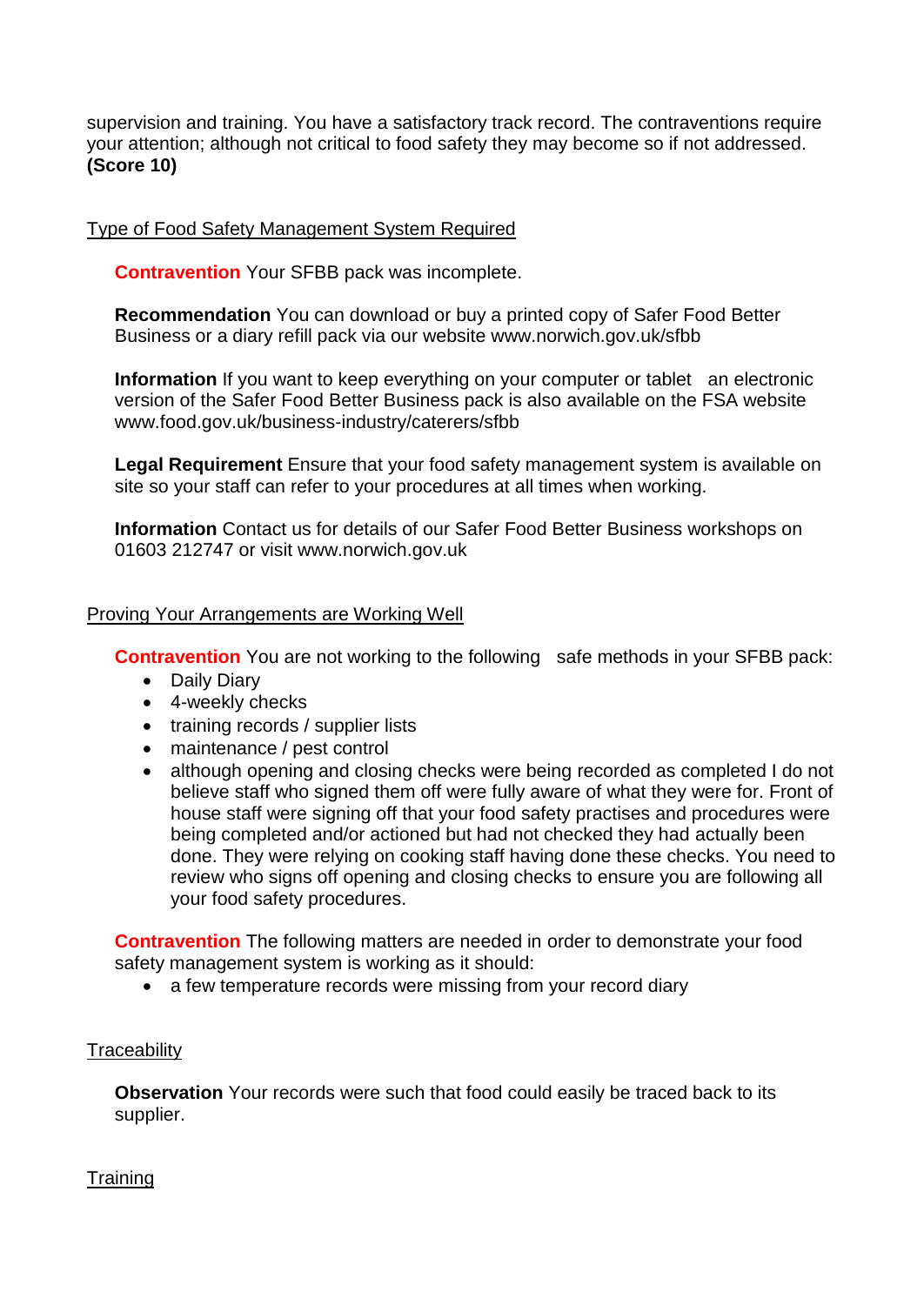supervision and training. You have a satisfactory track record. The contraventions require your attention; although not critical to food safety they may become so if not addressed. **(Score 10)**

## Type of Food Safety Management System Required

**Contravention** Your SFBB pack was incomplete.

**Recommendation** You can download or buy a printed copy of Safer Food Better Business or a diary refill pack via our website www.norwich.gov.uk/sfbb

**Information** If you want to keep everything on your computer or tablet an electronic version of the Safer Food Better Business pack is also available on the FSA website www.food.gov.uk/business-industry/caterers/sfbb

**Legal Requirement** Ensure that your food safety management system is available on site so your staff can refer to your procedures at all times when working.

**Information** Contact us for details of our Safer Food Better Business workshops on 01603 212747 or visit www.norwich.gov.uk

## Proving Your Arrangements are Working Well

**Contravention** You are not working to the following safe methods in your SFBB pack:

- Daily Diary
- 4-weekly checks
- training records / supplier lists
- maintenance / pest control
- although opening and closing checks were being recorded as completed I do not believe staff who signed them off were fully aware of what they were for. Front of house staff were signing off that your food safety practises and procedures were being completed and/or actioned but had not checked they had actually been done. They were relying on cooking staff having done these checks. You need to review who signs off opening and closing checks to ensure you are following all your food safety procedures.

**Contravention** The following matters are needed in order to demonstrate your food safety management system is working as it should:

• a few temperature records were missing from your record diary

## **Traceability**

**Observation** Your records were such that food could easily be traced back to its supplier.

**Training**